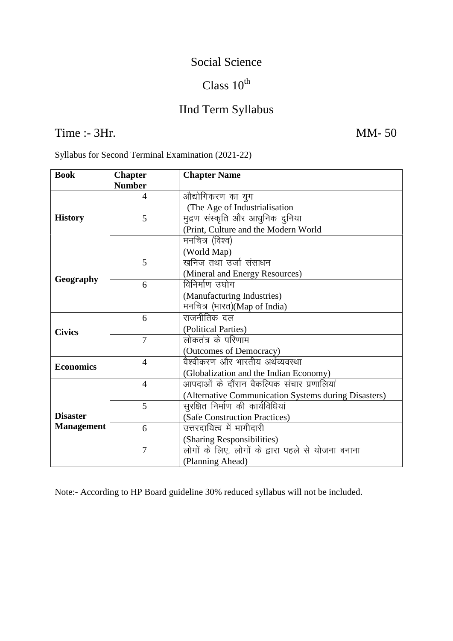#### Social Science

# Class  $10^{th}$

## IInd Term Syllabus

#### Time :- 3Hr. MM- 50

| Syllabus for Second Terminal Examination (2021-22) |  |
|----------------------------------------------------|--|
|----------------------------------------------------|--|

| <b>Book</b>       | <b>Chapter</b> | <b>Chapter Name</b>                                  |  |  |  |
|-------------------|----------------|------------------------------------------------------|--|--|--|
|                   | <b>Number</b>  |                                                      |  |  |  |
|                   | $\overline{4}$ | औद्योगिकरण का युग                                    |  |  |  |
| <b>History</b>    |                | (The Age of Industrialisation                        |  |  |  |
|                   | 5              | मुद्रण संस्कृति और आधुनिक दुनिया                     |  |  |  |
|                   |                | (Print, Culture and the Modern World                 |  |  |  |
|                   |                | मनचित्र (विश्व)                                      |  |  |  |
|                   |                | (World Map)                                          |  |  |  |
| Geography         | 5              | खनिज तथा उर्जा संसाधन                                |  |  |  |
|                   |                | (Mineral and Energy Resources)                       |  |  |  |
|                   | 6              | विनिर्माण उघोग                                       |  |  |  |
|                   |                | (Manufacturing Industries)                           |  |  |  |
|                   |                | मनचित्र (भारत)(Map of India)                         |  |  |  |
| <b>Civics</b>     | 6              | राजनीतिक दल                                          |  |  |  |
|                   |                | (Political Parties)                                  |  |  |  |
|                   | $\overline{7}$ | लोकतंत्र के परिणाम                                   |  |  |  |
|                   |                | (Outcomes of Democracy)                              |  |  |  |
| <b>Economics</b>  | $\overline{4}$ | वैश्वीकरण और भारतीय अर्थव्यवस्था                     |  |  |  |
|                   |                | (Globalization and the Indian Economy)               |  |  |  |
|                   | $\overline{4}$ | आपदाओं के दौंरान वैकल्पिक संचार प्रणालियां           |  |  |  |
|                   |                | (Alternative Communication Systems during Disasters) |  |  |  |
|                   | 5              | सुरक्षित निर्माण की कार्यविधियां                     |  |  |  |
| <b>Disaster</b>   |                | (Safe Construction Practices)                        |  |  |  |
| <b>Management</b> | 6              | उत्तरदायित्व में भागीदारी                            |  |  |  |
|                   |                | (Sharing Responsibilities)                           |  |  |  |
|                   | $\tau$         | लोगों के लिए, लोगों के द्वारा पहले से योजना बनाना    |  |  |  |
|                   |                | (Planning Ahead)                                     |  |  |  |

Note:- According to HP Board guideline 30% reduced syllabus will not be included.